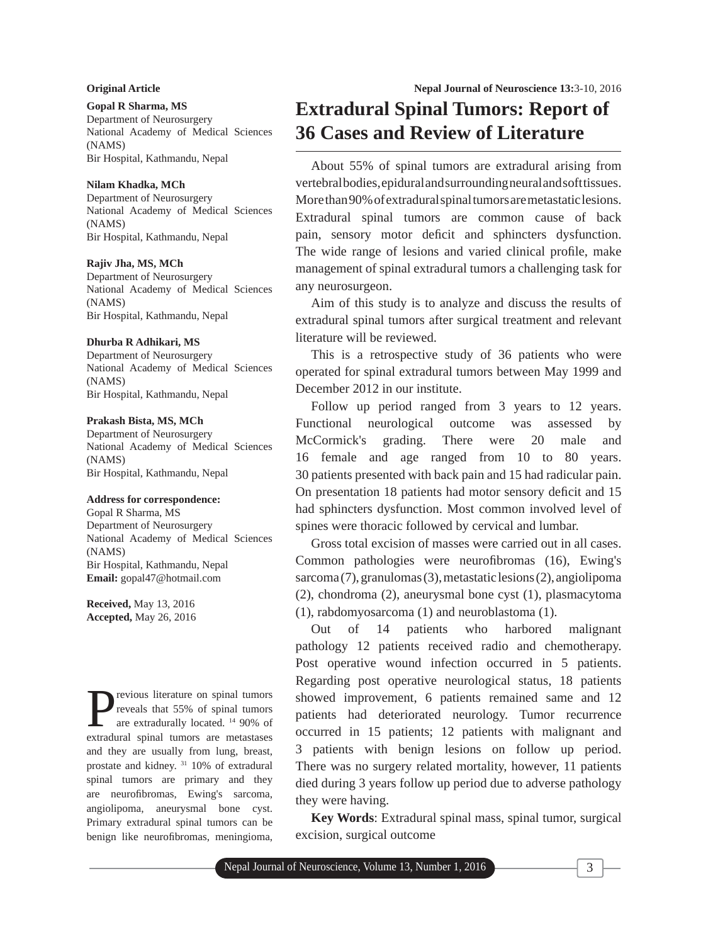# **Original Article**

# **Gopal R Sharma, MS**

Department of Neurosurgery National Academy of Medical Sciences (NAMS) Bir Hospital, Kathmandu, Nepal

#### **Nilam Khadka, MCh**

Department of Neurosurgery National Academy of Medical Sciences (NAMS) Bir Hospital, Kathmandu, Nepal

## **Rajiv Jha, MS, MCh**

Department of Neurosurgery National Academy of Medical Sciences (NAMS) Bir Hospital, Kathmandu, Nepal

## **Dhurba R Adhikari, MS**

Department of Neurosurgery National Academy of Medical Sciences (NAMS) Bir Hospital, Kathmandu, Nepal

## **Prakash Bista, MS, MCh**

Department of Neurosurgery National Academy of Medical Sciences (NAMS) Bir Hospital, Kathmandu, Nepal

## **Address for correspondence:**

Gopal R Sharma, MS Department of Neurosurgery National Academy of Medical Sciences (NAMS) Bir Hospital, Kathmandu, Nepal **Email:** gopal47@hotmail.com

**Received,** May 13, 2016 **Accepted,** May 26, 2016

**P**revious literature on spinal tumors<br>
are extradurally located. <sup>14</sup> 90% of<br>
axtradural spinal tumors are materials reveals that 55% of spinal tumors extradural spinal tumors are metastases and they are usually from lung, breast, prostate and kidney. 31 10% of extradural spinal tumors are primary and they are neurofibromas, Ewing's sarcoma, angiolipoma, aneurysmal bone cyst. Primary extradural spinal tumors can be benign like neurofibromas, meningioma,

# **Extradural Spinal Tumors: Report of 36 Cases and Review of Literature**

About 55% of spinal tumors are extradural arising from vertebral bodies, epidural and surrounding neural and soft tissues. More than 90% of extradural spinal tumors are metastatic lesions. Extradural spinal tumors are common cause of back pain, sensory motor deficit and sphincters dysfunction. The wide range of lesions and varied clinical profile, make management of spinal extradural tumors a challenging task for any neurosurgeon.

Aim of this study is to analyze and discuss the results of extradural spinal tumors after surgical treatment and relevant literature will be reviewed.

This is a retrospective study of 36 patients who were operated for spinal extradural tumors between May 1999 and December 2012 in our institute.

Follow up period ranged from 3 years to 12 years. Functional neurological outcome was assessed by McCormick's grading. There were 20 male and 16 female and age ranged from 10 to 80 years. 30 patients presented with back pain and 15 had radicular pain. On presentation 18 patients had motor sensory deficit and 15 had sphincters dysfunction. Most common involved level of spines were thoracic followed by cervical and lumbar.

Gross total excision of masses were carried out in all cases. Common pathologies were neurofibromas (16), Ewing's sarcoma (7), granulomas (3), metastatic lesions (2), angiolipoma (2), chondroma (2), aneurysmal bone cyst (1), plasmacytoma (1), rabdomyosarcoma (1) and neuroblastoma (1).

Out of 14 patients who harbored malignant pathology 12 patients received radio and chemotherapy. Post operative wound infection occurred in 5 patients. Regarding post operative neurological status, 18 patients showed improvement, 6 patients remained same and 12 patients had deteriorated neurology. Tumor recurrence occurred in 15 patients; 12 patients with malignant and 3 patients with benign lesions on follow up period. There was no surgery related mortality, however, 11 patients died during 3 years follow up period due to adverse pathology they were having.

**Key Words**: Extradural spinal mass, spinal tumor, surgical excision, surgical outcome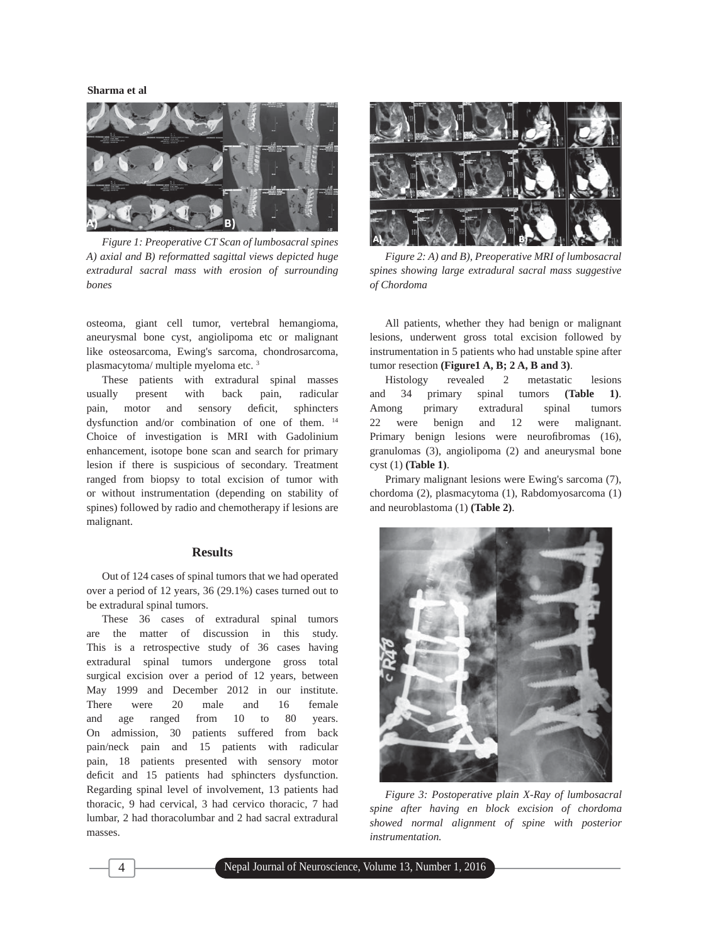

*Figure 1: Preoperative CT Scan of lumbosacral spines A) axial and B) reformatted sagittal views depicted huge extradural sacral mass with erosion of surrounding bones*

osteoma, giant cell tumor, vertebral hemangioma, aneurysmal bone cyst, angiolipoma etc or malignant like osteosarcoma, Ewing's sarcoma, chondrosarcoma, plasmacytoma/ multiple myeloma etc. 3

These patients with extradural spinal masses usually present with back pain, radicular pain, motor and sensory deficit, sphincters dysfunction and/or combination of one of them. 14 Choice of investigation is MRI with Gadolinium enhancement, isotope bone scan and search for primary lesion if there is suspicious of secondary. Treatment ranged from biopsy to total excision of tumor with or without instrumentation (depending on stability of spines) followed by radio and chemotherapy if lesions are malignant.

## **Results**

Out of 124 cases of spinal tumors that we had operated over a period of 12 years, 36 (29.1%) cases turned out to be extradural spinal tumors.

These 36 cases of extradural spinal tumors are the matter of discussion in this study. This is a retrospective study of 36 cases having extradural spinal tumors undergone gross total surgical excision over a period of 12 years, between May 1999 and December 2012 in our institute. There were 20 male and 16 female and age ranged from 10 to 80 years. On admission, 30 patients suffered from back pain/neck pain and 15 patients with radicular pain, 18 patients presented with sensory motor deficit and 15 patients had sphincters dysfunction. Regarding spinal level of involvement, 13 patients had thoracic, 9 had cervical, 3 had cervico thoracic, 7 had lumbar, 2 had thoracolumbar and 2 had sacral extradural masses.



*Figure 2: A) and B), Preoperative MRI of lumbosacral spines showing large extradural sacral mass suggestive of Chordoma*

All patients, whether they had benign or malignant lesions, underwent gross total excision followed by instrumentation in 5 patients who had unstable spine after tumor resection **(Figure1 A, B; 2 A, B and 3)**.

Histology revealed 2 metastatic lesions and 34 primary spinal tumors **(Table 1)**. Among primary extradural spinal tumors 22 were benign and 12 were malignant. Primary benign lesions were neurofibromas (16), granulomas (3), angiolipoma (2) and aneurysmal bone cyst (1) **(Table 1)**.

Primary malignant lesions were Ewing's sarcoma (7), chordoma (2), plasmacytoma (1), Rabdomyosarcoma (1) and neuroblastoma (1) **(Table 2)**.



*Figure 3: Postoperative plain X-Ray of lumbosacral spine after having en block excision of chordoma showed normal alignment of spine with posterior instrumentation.*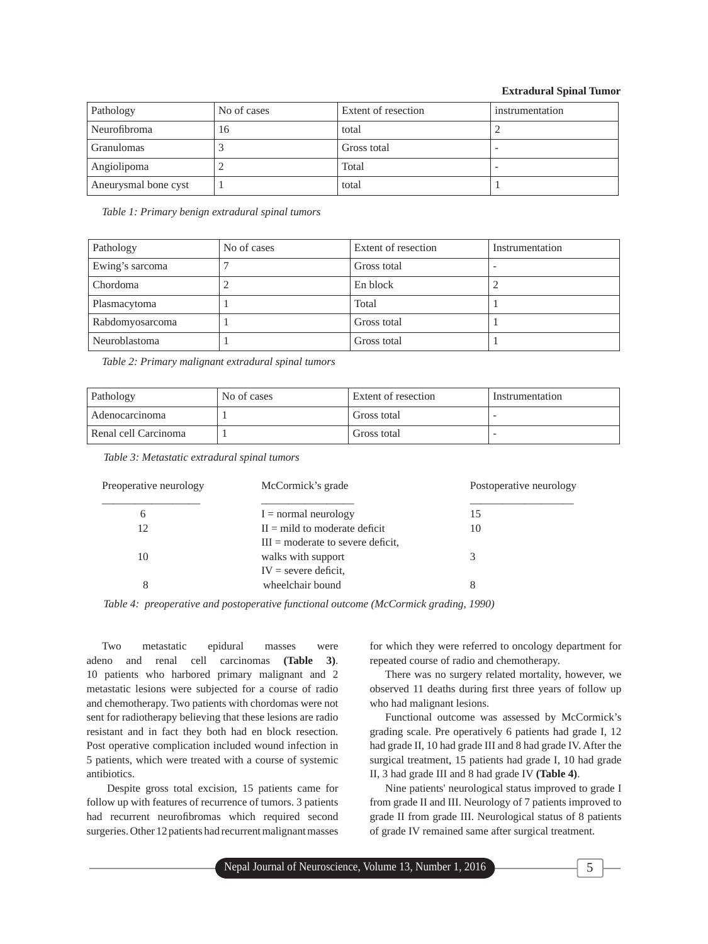## **Extradural Spinal Tumor**

| Pathology            | No of cases | Extent of resection | instrumentation          |
|----------------------|-------------|---------------------|--------------------------|
| Neurofibroma         | 16          | total               |                          |
| <b>Granulomas</b>    |             | Gross total         | $\overline{\phantom{a}}$ |
| Angiolipoma          |             | Total               |                          |
| Aneurysmal bone cyst |             | total               |                          |

*Table 1: Primary benign extradural spinal tumors*

| Pathology       | No of cases | Extent of resection | Instrumentation |
|-----------------|-------------|---------------------|-----------------|
| Ewing's sarcoma |             | Gross total         |                 |
| Chordoma        |             | En block            |                 |
| Plasmacytoma    |             | Total               |                 |
| Rabdomyosarcoma |             | Gross total         |                 |
| Neuroblastoma   |             | Gross total         |                 |

*Table 2: Primary malignant extradural spinal tumors*

| Pathology            | No of cases | Extent of resection | Instrumentation |
|----------------------|-------------|---------------------|-----------------|
| Adenocarcinoma       |             | Gross total         |                 |
| Renal cell Carcinoma |             | Gross total         |                 |

*Table 3: Metastatic extradural spinal tumors*

| Preoperative neurology | McCormick's grade                                                                   | Postoperative neurology |  |
|------------------------|-------------------------------------------------------------------------------------|-------------------------|--|
| 6                      | $I = normal neurology$                                                              | 15                      |  |
| 12                     | $H =$ mild to moderate deficit                                                      | 10                      |  |
| 10                     | $III =$ moderate to severe deficit.<br>walks with support<br>$IV =$ severe deficit, |                         |  |
| 8                      | wheelchair bound                                                                    | 8                       |  |

*Table 4: preoperative and postoperative functional outcome (McCormick grading, 1990)*

Two metastatic epidural masses were adeno and renal cell carcinomas **(Table 3)**. 10 patients who harbored primary malignant and 2 metastatic lesions were subjected for a course of radio and chemotherapy. Two patients with chordomas were not sent for radiotherapy believing that these lesions are radio resistant and in fact they both had en block resection. Post operative complication included wound infection in 5 patients, which were treated with a course of systemic antibiotics.

 Despite gross total excision, 15 patients came for follow up with features of recurrence of tumors. 3 patients had recurrent neurofibromas which required second surgeries. Other 12 patients had recurrent malignant masses

for which they were referred to oncology department for repeated course of radio and chemotherapy.

There was no surgery related mortality, however, we observed 11 deaths during first three years of follow up who had malignant lesions.

Functional outcome was assessed by McCormick's grading scale. Pre operatively 6 patients had grade I, 12 had grade II, 10 had grade III and 8 had grade IV. After the surgical treatment, 15 patients had grade I, 10 had grade II, 3 had grade III and 8 had grade IV **(Table 4)**.

Nine patients' neurological status improved to grade I from grade II and III. Neurology of 7 patients improved to grade II from grade III. Neurological status of 8 patients of grade IV remained same after surgical treatment.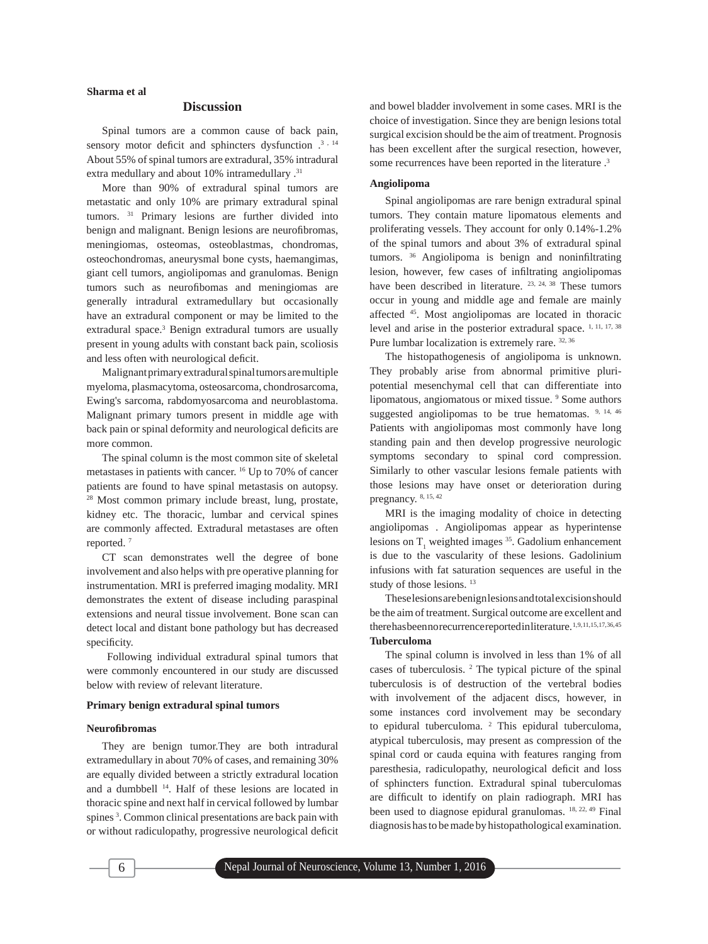## **Discussion**

Spinal tumors are a common cause of back pain, sensory motor deficit and sphincters dysfunction  $.^3 \cdot 14$ About 55% of spinal tumors are extradural, 35% intradural extra medullary and about 10% intramedullary .<sup>31</sup>

More than 90% of extradural spinal tumors are metastatic and only 10% are primary extradural spinal tumors. <sup>31</sup> Primary lesions are further divided into benign and malignant. Benign lesions are neurofibromas, meningiomas, osteomas, osteoblastmas, chondromas, osteochondromas, aneurysmal bone cysts, haemangimas, giant cell tumors, angiolipomas and granulomas. Benign tumors such as neurofibomas and meningiomas are generally intradural extramedullary but occasionally have an extradural component or may be limited to the extradural space.<sup>3</sup> Benign extradural tumors are usually present in young adults with constant back pain, scoliosis and less often with neurological deficit.

Malignant primary extradural spinal tumors are multiple myeloma, plasmacytoma, osteosarcoma, chondrosarcoma, Ewing's sarcoma, rabdomyosarcoma and neuroblastoma. Malignant primary tumors present in middle age with back pain or spinal deformity and neurological deficits are more common.

The spinal column is the most common site of skeletal metastases in patients with cancer. 16 Up to 70% of cancer patients are found to have spinal metastasis on autopsy. 28 Most common primary include breast, lung, prostate, kidney etc. The thoracic, lumbar and cervical spines are commonly affected. Extradural metastases are often reported. 7

CT scan demonstrates well the degree of bone involvement and also helps with pre operative planning for instrumentation. MRI is preferred imaging modality. MRI demonstrates the extent of disease including paraspinal extensions and neural tissue involvement. Bone scan can detect local and distant bone pathology but has decreased specificity.

 Following individual extradural spinal tumors that were commonly encountered in our study are discussed below with review of relevant literature.

#### **Primary benign extradural spinal tumors**

#### **Neurofi bromas**

They are benign tumor.They are both intradural extramedullary in about 70% of cases, and remaining 30% are equally divided between a strictly extradural location and a dumbbell 14. Half of these lesions are located in thoracic spine and next half in cervical followed by lumbar spines<sup>3</sup>. Common clinical presentations are back pain with or without radiculopathy, progressive neurological deficit

and bowel bladder involvement in some cases. MRI is the choice of investigation. Since they are benign lesions total surgical excision should be the aim of treatment. Prognosis has been excellent after the surgical resection, however, some recurrences have been reported in the literature .3

### **Angiolipoma**

Spinal angiolipomas are rare benign extradural spinal tumors. They contain mature lipomatous elements and proliferating vessels. They account for only 0.14%-1.2% of the spinal tumors and about 3% of extradural spinal tumors.  $36$  Angiolipoma is benign and noninfiltrating lesion, however, few cases of infiltrating angiolipomas have been described in literature. <sup>23, 24, 38</sup> These tumors occur in young and middle age and female are mainly affected 45. Most angiolipomas are located in thoracic level and arise in the posterior extradural space. <sup>1, 11, 17, 38</sup> Pure lumbar localization is extremely rare. 32, 36

The histopathogenesis of angiolipoma is unknown. They probably arise from abnormal primitive pluripotential mesenchymal cell that can differentiate into lipomatous, angiomatous or mixed tissue.<sup>9</sup> Some authors suggested angiolipomas to be true hematomas.  $9, 14, 46$ Patients with angiolipomas most commonly have long standing pain and then develop progressive neurologic symptoms secondary to spinal cord compression. Similarly to other vascular lesions female patients with those lesions may have onset or deterioration during pregnancy. 8, 15, 42

MRI is the imaging modality of choice in detecting angiolipomas . Angiolipomas appear as hyperintense lesions on  $T_1$  weighted images <sup>35</sup>. Gadolium enhancement is due to the vascularity of these lesions. Gadolinium infusions with fat saturation sequences are useful in the study of those lesions.<sup>13</sup>

These lesions are benign lesions and total excision should be the aim of treatment. Surgical outcome are excellent and there has been no recurrence reported in literature. 1,9,11,15,17,36,45 **Tuberculoma**

The spinal column is involved in less than 1% of all cases of tuberculosis. 2 The typical picture of the spinal tuberculosis is of destruction of the vertebral bodies with involvement of the adjacent discs, however, in some instances cord involvement may be secondary to epidural tuberculoma. <sup>2</sup> This epidural tuberculoma, atypical tuberculosis, may present as compression of the spinal cord or cauda equina with features ranging from paresthesia, radiculopathy, neurological deficit and loss of sphincters function. Extradural spinal tuberculomas are difficult to identify on plain radiograph. MRI has been used to diagnose epidural granulomas. 18, 22, 49 Final diagnosis has to be made by histopathological examination.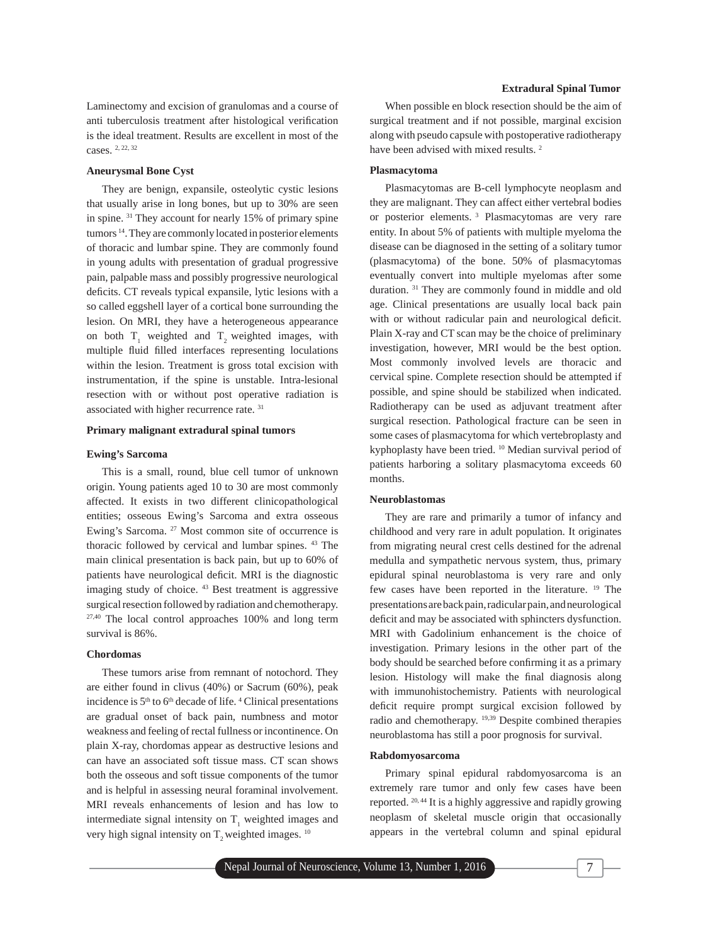Laminectomy and excision of granulomas and a course of anti tuberculosis treatment after histological verification is the ideal treatment. Results are excellent in most of the cases. 2, 22, 32

#### **Aneurysmal Bone Cyst**

They are benign, expansile, osteolytic cystic lesions that usually arise in long bones, but up to 30% are seen in spine. 31 They account for nearly 15% of primary spine tumors 14. They are commonly located in posterior elements of thoracic and lumbar spine. They are commonly found in young adults with presentation of gradual progressive pain, palpable mass and possibly progressive neurological deficits. CT reveals typical expansile, lytic lesions with a so called eggshell layer of a cortical bone surrounding the lesion. On MRI, they have a heterogeneous appearance on both  $T_1$  weighted and  $T_2$  weighted images, with multiple fluid filled interfaces representing loculations within the lesion. Treatment is gross total excision with instrumentation, if the spine is unstable. Intra-lesional resection with or without post operative radiation is associated with higher recurrence rate. 31

#### **Primary malignant extradural spinal tumors**

#### **Ewing's Sarcoma**

This is a small, round, blue cell tumor of unknown origin. Young patients aged 10 to 30 are most commonly affected. It exists in two different clinicopathological entities; osseous Ewing's Sarcoma and extra osseous Ewing's Sarcoma. 27 Most common site of occurrence is thoracic followed by cervical and lumbar spines. 43 The main clinical presentation is back pain, but up to 60% of patients have neurological deficit. MRI is the diagnostic imaging study of choice. 43 Best treatment is aggressive surgical resection followed by radiation and chemotherapy. 27,40 The local control approaches 100% and long term survival is 86%.

## **Chordomas**

These tumors arise from remnant of notochord. They are either found in clivus (40%) or Sacrum (60%), peak incidence is  $5<sup>th</sup>$  to  $6<sup>th</sup>$  decade of life. <sup>4</sup> Clinical presentations are gradual onset of back pain, numbness and motor weakness and feeling of rectal fullness or incontinence. On plain X-ray, chordomas appear as destructive lesions and can have an associated soft tissue mass. CT scan shows both the osseous and soft tissue components of the tumor and is helpful in assessing neural foraminal involvement. MRI reveals enhancements of lesion and has low to intermediate signal intensity on  $T_1$  weighted images and very high signal intensity on  $T<sub>2</sub>$  weighted images.  $^{10}$ 

#### **Extradural Spinal Tumor**

When possible en block resection should be the aim of surgical treatment and if not possible, marginal excision along with pseudo capsule with postoperative radiotherapy have been advised with mixed results.<sup>2</sup>

## **Plasmacytoma**

Plasmacytomas are B-cell lymphocyte neoplasm and they are malignant. They can affect either vertebral bodies or posterior elements. 3 Plasmacytomas are very rare entity. In about 5% of patients with multiple myeloma the disease can be diagnosed in the setting of a solitary tumor (plasmacytoma) of the bone. 50% of plasmacytomas eventually convert into multiple myelomas after some duration. 31 They are commonly found in middle and old age. Clinical presentations are usually local back pain with or without radicular pain and neurological deficit. Plain X-ray and CT scan may be the choice of preliminary investigation, however, MRI would be the best option. Most commonly involved levels are thoracic and cervical spine. Complete resection should be attempted if possible, and spine should be stabilized when indicated. Radiotherapy can be used as adjuvant treatment after surgical resection. Pathological fracture can be seen in some cases of plasmacytoma for which vertebroplasty and kyphoplasty have been tried. 10 Median survival period of patients harboring a solitary plasmacytoma exceeds 60 months.

#### **Neuroblastomas**

They are rare and primarily a tumor of infancy and childhood and very rare in adult population. It originates from migrating neural crest cells destined for the adrenal medulla and sympathetic nervous system, thus, primary epidural spinal neuroblastoma is very rare and only few cases have been reported in the literature. 19 The presentations are back pain, radicular pain, and neurological deficit and may be associated with sphincters dysfunction. MRI with Gadolinium enhancement is the choice of investigation. Primary lesions in the other part of the body should be searched before confirming it as a primary lesion. Histology will make the final diagnosis along with immunohistochemistry. Patients with neurological deficit require prompt surgical excision followed by radio and chemotherapy. 19,39 Despite combined therapies neuroblastoma has still a poor prognosis for survival.

#### **Rabdomyosarcoma**

Primary spinal epidural rabdomyosarcoma is an extremely rare tumor and only few cases have been reported. 20, 44 It is a highly aggressive and rapidly growing neoplasm of skeletal muscle origin that occasionally appears in the vertebral column and spinal epidural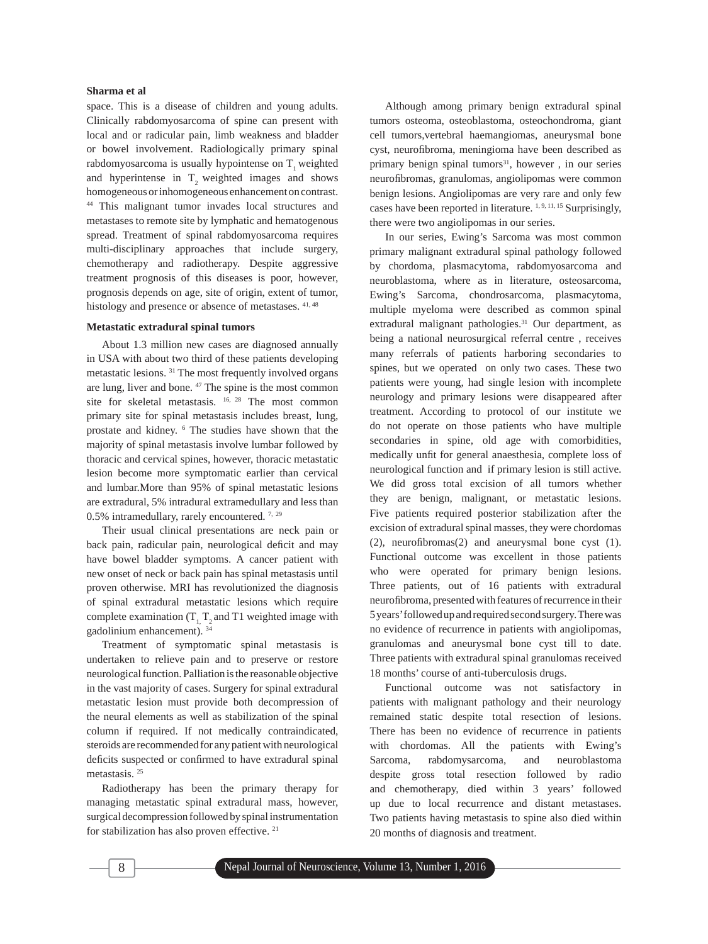space. This is a disease of children and young adults. Clinically rabdomyosarcoma of spine can present with local and or radicular pain, limb weakness and bladder or bowel involvement. Radiologically primary spinal rabdomyosarcoma is usually hypointense on  $T<sub>1</sub>$  weighted and hyperintense in  $T<sub>2</sub>$  weighted images and shows homogeneous or inhomogeneous enhancement on contrast. 44 This malignant tumor invades local structures and metastases to remote site by lymphatic and hematogenous spread. Treatment of spinal rabdomyosarcoma requires multi-disciplinary approaches that include surgery, chemotherapy and radiotherapy. Despite aggressive treatment prognosis of this diseases is poor, however, prognosis depends on age, site of origin, extent of tumor, histology and presence or absence of metastases.  $41, 48$ 

## **Metastatic extradural spinal tumors**

About 1.3 million new cases are diagnosed annually in USA with about two third of these patients developing metastatic lesions. 31 The most frequently involved organs are lung, liver and bone. 47 The spine is the most common site for skeletal metastasis. 16, 28 The most common primary site for spinal metastasis includes breast, lung, prostate and kidney. 6 The studies have shown that the majority of spinal metastasis involve lumbar followed by thoracic and cervical spines, however, thoracic metastatic lesion become more symptomatic earlier than cervical and lumbar.More than 95% of spinal metastatic lesions are extradural, 5% intradural extramedullary and less than 0.5% intramedullary, rarely encountered. 7, <sup>29</sup>

Their usual clinical presentations are neck pain or back pain, radicular pain, neurological deficit and may have bowel bladder symptoms. A cancer patient with new onset of neck or back pain has spinal metastasis until proven otherwise. MRI has revolutionized the diagnosis of spinal extradural metastatic lesions which require complete examination  $(T_1, T_2, T_3)$  and T1 weighted image with gadolinium enhancement). 34

Treatment of symptomatic spinal metastasis is undertaken to relieve pain and to preserve or restore neurological function. Palliation is the reasonable objective in the vast majority of cases. Surgery for spinal extradural metastatic lesion must provide both decompression of the neural elements as well as stabilization of the spinal column if required. If not medically contraindicated, steroids are recommended for any patient with neurological deficits suspected or confirmed to have extradural spinal metastasis. 25

Radiotherapy has been the primary therapy for managing metastatic spinal extradural mass, however, surgical decompression followed by spinal instrumentation for stabilization has also proven effective. 21

Although among primary benign extradural spinal tumors osteoma, osteoblastoma, osteochondroma, giant cell tumors,vertebral haemangiomas, aneurysmal bone cyst, neurofibroma, meningioma have been described as primary benign spinal tumors<sup>31</sup>, however, in our series neurofibromas, granulomas, angiolipomas were common benign lesions. Angiolipomas are very rare and only few cases have been reported in literature.<sup>1, 9, 11, 15</sup> Surprisingly, there were two angiolipomas in our series.

In our series, Ewing's Sarcoma was most common primary malignant extradural spinal pathology followed by chordoma, plasmacytoma, rabdomyosarcoma and neuroblastoma, where as in literature, osteosarcoma, Ewing's Sarcoma, chondrosarcoma, plasmacytoma, multiple myeloma were described as common spinal extradural malignant pathologies.<sup>31</sup> Our department, as being a national neurosurgical referral centre , receives many referrals of patients harboring secondaries to spines, but we operated on only two cases. These two patients were young, had single lesion with incomplete neurology and primary lesions were disappeared after treatment. According to protocol of our institute we do not operate on those patients who have multiple secondaries in spine, old age with comorbidities, medically unfit for general anaesthesia, complete loss of neurological function and if primary lesion is still active. We did gross total excision of all tumors whether they are benign, malignant, or metastatic lesions. Five patients required posterior stabilization after the excision of extradural spinal masses, they were chordomas (2), neurofibromas $(2)$  and aneurysmal bone cyst  $(1)$ . Functional outcome was excellent in those patients who were operated for primary benign lesions. Three patients, out of 16 patients with extradural neurofibroma, presented with features of recurrence in their 5 years' followed up and required second surgery. There was no evidence of recurrence in patients with angiolipomas, granulomas and aneurysmal bone cyst till to date. Three patients with extradural spinal granulomas received 18 months' course of anti-tuberculosis drugs.

Functional outcome was not satisfactory in patients with malignant pathology and their neurology remained static despite total resection of lesions. There has been no evidence of recurrence in patients with chordomas. All the patients with Ewing's Sarcoma, rabdomysarcoma, and neuroblastoma despite gross total resection followed by radio and chemotherapy, died within 3 years' followed up due to local recurrence and distant metastases. Two patients having metastasis to spine also died within 20 months of diagnosis and treatment.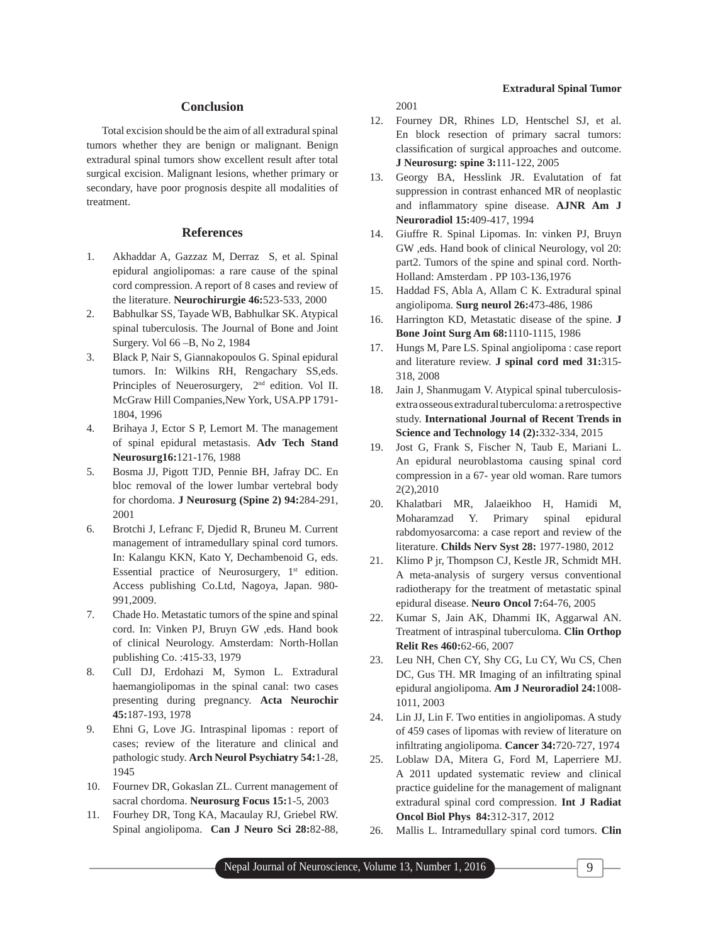# **Conclusion**

Total excision should be the aim of all extradural spinal tumors whether they are benign or malignant. Benign extradural spinal tumors show excellent result after total surgical excision. Malignant lesions, whether primary or secondary, have poor prognosis despite all modalities of treatment.

## **References**

- 1. Akhaddar A, Gazzaz M, Derraz S, et al. Spinal epidural angiolipomas: a rare cause of the spinal cord compression. A report of 8 cases and review of the literature. **Neurochirurgie 46:**523-533, 2000
- 2. Babhulkar SS, Tayade WB, Babhulkar SK. Atypical spinal tuberculosis. The Journal of Bone and Joint Surgery. Vol 66 –B, No 2, 1984
- 3. Black P, Nair S, Giannakopoulos G. Spinal epidural tumors. In: Wilkins RH, Rengachary SS,eds. Principles of Neuerosurgery,  $2<sup>nd</sup>$  edition. Vol II. McGraw Hill Companies,New York, USA.PP 1791- 1804, 1996
- 4. Brihaya J, Ector S P, Lemort M. The management of spinal epidural metastasis. **Adv Tech Stand Neurosurg16:**121-176, 1988
- 5. Bosma JJ, Pigott TJD, Pennie BH, Jafray DC. En bloc removal of the lower lumbar vertebral body for chordoma. **J Neurosurg (Spine 2) 94:**284-291, 2001
- 6. Brotchi J, Lefranc F, Djedid R, Bruneu M. Current management of intramedullary spinal cord tumors. In: Kalangu KKN, Kato Y, Dechambenoid G, eds. Essential practice of Neurosurgery,  $1<sup>st</sup>$  edition. Access publishing Co.Ltd, Nagoya, Japan. 980- 991,2009.
- 7. Chade Ho. Metastatic tumors of the spine and spinal cord. In: Vinken PJ, Bruyn GW ,eds. Hand book of clinical Neurology. Amsterdam: North-Hollan publishing Co. :415-33, 1979
- 8. Cull DJ, Erdohazi M, Symon L. Extradural haemangiolipomas in the spinal canal: two cases presenting during pregnancy. **Acta Neurochir 45:**187-193, 1978
- 9. Ehni G, Love JG. Intraspinal lipomas : report of cases; review of the literature and clinical and pathologic study. **Arch Neurol Psychiatry 54:**1-28, 1945
- 10. Fournev DR, Gokaslan ZL. Current management of sacral chordoma. **Neurosurg Focus 15:**1-5, 2003
- 11. Fourhey DR, Tong KA, Macaulay RJ, Griebel RW. Spinal angiolipoma. **Can J Neuro Sci 28:**82-88,

2001

- 12. Fourney DR, Rhines LD, Hentschel SJ, et al. En block resection of primary sacral tumors: classification of surgical approaches and outcome. **J Neurosurg: spine 3:**111-122, 2005
- 13. Georgy BA, Hesslink JR. Evalutation of fat suppression in contrast enhanced MR of neoplastic and inflammatory spine disease. AJNR Am J **Neuroradiol 15:**409-417, 1994
- 14. Giuffre R. Spinal Lipomas. In: vinken PJ, Bruyn GW ,eds. Hand book of clinical Neurology, vol 20: part2. Tumors of the spine and spinal cord. North-Holland: Amsterdam . PP 103-136,1976
- 15. Haddad FS, Abla A, Allam C K. Extradural spinal angiolipoma. **Surg neurol 26:**473-486, 1986
- 16. Harrington KD, Metastatic disease of the spine. **J Bone Joint Surg Am 68:**1110-1115, 1986
- 17. Hungs M, Pare LS. Spinal angiolipoma : case report and literature review. **J spinal cord med 31:**315- 318, 2008
- 18. Jain J, Shanmugam V. Atypical spinal tuberculosisextra osseous extradural tuberculoma: a retrospective study. **International Journal of Recent Trends in Science and Technology 14 (2):**332-334, 2015
- 19. Jost G, Frank S, Fischer N, Taub E, Mariani L. An epidural neuroblastoma causing spinal cord compression in a 67- year old woman. Rare tumors 2(2),2010
- 20. Khalatbari MR, Jalaeikhoo H, Hamidi M, Moharamzad Y. Primary spinal epidural rabdomyosarcoma: a case report and review of the literature. **Childs Nerv Syst 28:** 1977-1980, 2012
- 21. Klimo P jr, Thompson CJ, Kestle JR, Schmidt MH. A meta-analysis of surgery versus conventional radiotherapy for the treatment of metastatic spinal epidural disease. **Neuro Oncol 7:**64-76, 2005
- 22. Kumar S, Jain AK, Dhammi IK, Aggarwal AN. Treatment of intraspinal tuberculoma. **Clin Orthop Relit Res 460:**62-66, 2007
- 23. Leu NH, Chen CY, Shy CG, Lu CY, Wu CS, Chen DC, Gus TH. MR Imaging of an infiltrating spinal epidural angiolipoma. **Am J Neuroradiol 24:**1008- 1011, 2003
- 24. Lin JJ, Lin F. Two entities in angiolipomas. A study of 459 cases of lipomas with review of literature on infiltrating angiolipoma. **Cancer 34:**720-727, 1974
- 25. Loblaw DA, Mitera G, Ford M, Laperriere MJ. A 2011 updated systematic review and clinical practice guideline for the management of malignant extradural spinal cord compression. **Int J Radiat Oncol Biol Phys 84:**312-317, 2012
- 26. Mallis L. Intramedullary spinal cord tumors. **Clin**

# **Extradural Spinal Tumor**